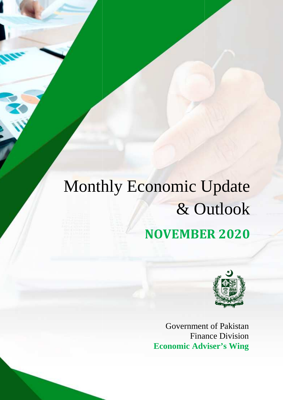# Monthly Economic Update & Outlook **NOVEMBER NOVEMBER 2020**



Government of Paki Pakistan Finance Division **Economic Adviser's Wing**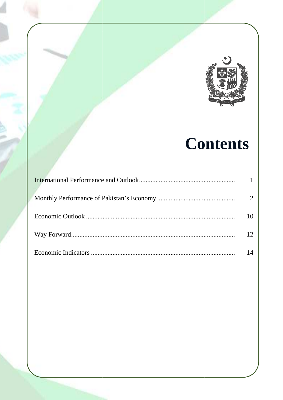

# **Contents**

| 10              |
|-----------------|
| 12 <sub>1</sub> |
| 14              |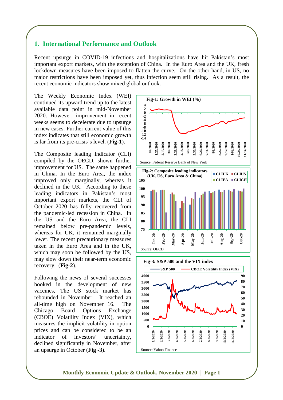# **1. International Performance and Outlook**

Recent upsurge in COVID-19 infections and hospitalizations have hit Pakistan's most important export markets, with the exception of China. In the Euro Area and the UK, fresh lockdown measures have been imposed to flatten the curve. On the other hand, in US, no major restrictions have been imposed yet, thus infection seem still rising. As a result, the recent economic indicators show mixed global outlook.

The Weekly Economic Index (WEI) continued its upward trend up to the latest available data point in mid-November 2020. However, improvement in recent weeks seems to decelerate due to upsurge in new cases. Further current value of this index indicates that still economic growth is far from its pre-crisis's level. (**Fig-1**).

The Composite leading Indicator (CLI) compiled by the OECD, shown further improvement for US. The same happened in China. In the Euro Area, the index improved only marginally, whereas it declined in the UK. According to these leading indicators in Pakistan's most important export markets, the CLI of October 2020 has fully recovered from the pandemic-led recession in China. In the US and the Euro Area, the CLI remained below pre-pandemic levels, whereas for UK, it remained marginally lower. The recent precautionary measures taken in the Euro Area and in the UK, which may soon be followed by the US, may slow down their near-term economic recovery. (**Fig-2**).

Following the news of several successes booked in the development of new vaccines, The US stock market has rebounded in November. It reached an all-time high on November 16. The Chicago Board Options Exchange (CBOE) Volatility Index (VIX), which measures the implicit volatility in option prices and can be considered to be an indicator of investors' uncertainty, declined significantly in November, after an upsurge in October (**Fig -3**).



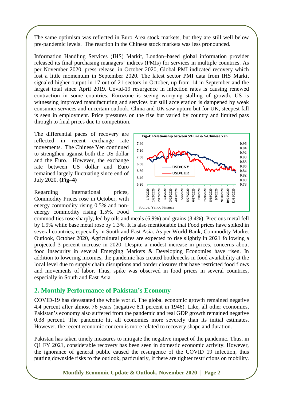The same optimism was reflected in Euro Area stock markets, but they are still well below pre-pandemic levels. The reaction in the Chinese stock markets was less pronounced.

Information Handling Services (IHS) Markit, London–based global information provider released its final purchasing managers' indices (PMIs) for services in multiple countries. As per November 2020, press release, in October 2020, Global PMI indicated recovery which lost a little momentum in September 2020. The latest sector PMI data from IHS Markit signaled higher output in 17 out of 21 sectors in October, up from 14 in September and the largest total since April 2019. Covid-19 resurgence in infection rates is causing renewed contraction in some countries. Eurozone is seeing worrying stalling of growth. US is witnessing improved manufacturing and services but still acceleration is dampened by weak consumer services and uncertain outlook. China and UK saw upturn but for UK, steepest fall is seen in employment. Price pressures on the rise but varied by country and limited pass through to final prices due to competition.

The differential paces of recovery are reflected in recent exchange rate movements. The Chinese Yen continued to strengthen against both the US dollar and the Euro. However, the exchange rate between US dollar and Euro remained largely fluctuating since end of July 2020. **(Fig–4)**

Regarding International prices, Commodity Prices rose in October, with energy commodity rising 0.5% and nonenergy commodity rising 1.5%. Food



commodities rose sharply, led by oils and meals (6.9%) and grains (3.4%). Precious metal fell by 1.9% while base metal rose by 1.3%. It is also mentionable that Food prices have spiked in several countries, especially in South and East Asia. As per World Bank, Commodity Market Outlook, October 2020, Agricultural prices are expected to rise slightly in 2021 following a projected 3 percent increase in 2020. Despite a modest increase in prices, concerns about food insecurity in several Emerging Markets & Developing Economies have risen. In addition to lowering incomes, the pandemic has created bottlenecks in food availability at the local level due to supply chain disruptions and border closures that have restricted food flows and movements of labor. Thus, spike was observed in food prices in several countries, especially in South and East Asia.

#### **2. Monthly Performance of Pakistan's Economy**

COVID-19 has devastated the whole world. The global economic growth remained negative 4.4 percent after almost 76 years (negative 8.1 percent in 1946). Like, all other economies, Pakistan's economy also suffered from the pandemic and real GDP growth remained negative 0.38 percent. The pandemic hit all economies more severely than its initial estimates. However, the recent economic concern is more related to recovery shape and duration.

Pakistan has taken timely measures to mitigate the negative impact of the pandemic. Thus, in Q1 FY 2021, considerable recovery has been seen in domestic economic activity. However, the ignorance of general public caused the resurgence of the COVID 19 infection, thus putting downside risks to the outlook, particularly, if there are tighter restrictions on mobility.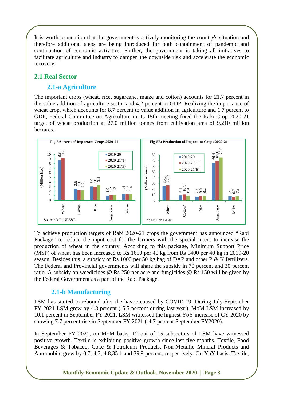It is worth to mention that the government is actively monitoring the country's situation and therefore additional steps are being introduced for both containment of pandemic and continuation of economic activities. Further, the government is taking all initiatives to facilitate agriculture and industry to dampen the downside risk and accelerate the economic recovery.

# **2.1 Real Sector**

# **2.1-a Agriculture**

The important crops (wheat, rice, sugarcane, maize and cotton) accounts for 21.7 percent in the value addition of agriculture sector and 4.2 percent in GDP. Realizing the importance of wheat crop, which accounts for 8.7 percent to value addition in agriculture and 1.7 percent to GDP, Federal Committee on Agriculture in its 15th meeting fixed the Rabi Crop 2020-21 target of wheat production at 27.0 million tonnes from cultivation area of 9.210 million hectares.



To achieve production targets of Rabi 2020-21 crops the government has announced "Rabi Package" to reduce the input cost for the farmers with the special intent to increase the production of wheat in the country. According to this package, Minimum Support Price (MSP) of wheat has been increased to Rs 1650 per 40 kg from Rs 1400 per 40 kg in 2019-20 season. Besides this, a subsidy of Rs 1000 per 50 kg bag of DAP and other P & K fertilizers. The Federal and Provincial governments will share the subsidy in 70 percent and 30 percent ratio. A subsidy on weedicides @ Rs 250 per acre and fungicides @ Rs 150 will be given by the Federal Government as a part of the Rabi Package.

# **2.1-b Manufacturing**

LSM has started to rebound after the havoc caused by COVID-19. During July-September FY 2021 LSM grew by 4.8 percent (-5.5 percent during last year). MoM LSM increased by 10.1 percent in September FY 2021. LSM witnessed the highest YoY increase of CY 2020 by showing 7.7 percent rise in September FY 2021 (-4.7 percent September FY2020).

In September FY 2021, on MoM basis, 12 out of 15 subsectors of LSM have witnessed positive growth. Textile is exhibiting positive growth since last five months. Textile, Food Beverages & Tobacco, Coke & Petroleum Products, Non-Metallic Mineral Products and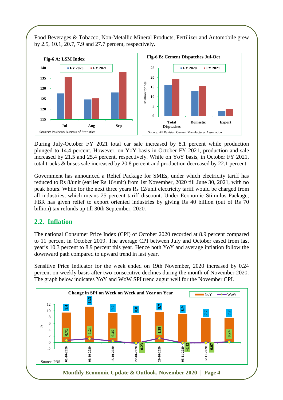Food Beverages & Tobacco, Non-Metallic Mineral Products, Fertilizer and Automobile grew by 2.5, 10.1, 20.7, 7.9 and 27.7 percent, respectively.



During July-October FY 2021 total car sale increased by 8.1 percent while production plunged to 14.4 percent. However, on YoY basis in October FY 2021, production and sale increased by 21.5 and 25.4 percent, respectively. While on YoY basis, in October FY 2021, total trucks & buses sale increased by 20.8 percent and production decreased by 22.1 percent.

Government has announced a Relief Package for SMEs, under which electricity tariff has reduced to Rs 8/unit (earlier Rs 16/unit) from 1st November, 2020 till June 30, 2021, with no peak hours. While for the next three years Rs 12/unit electricity tariff would be charged from all industries, which means 25 percent tariff discount. Under Economic Stimulus Package, FBR has given relief to export oriented industries by giving Rs 40 billion (out of Rs 70 billion) tax refunds up till 30th September, 2020.

# **2.2. Inflation**

The national Consumer Price Index (CPI) of October 2020 recorded at 8.9 percent compared to 11 percent in October 2019. The average CPI between July and October eased from last year's 10.3 percent to 8.9 percent this year. Hence both YoY and average inflation follow the downward path compared to upward trend in last year.

Sensitive Price Indicator for the week ended on 19th November, 2020 increased by 0.24 percent on weekly basis after two consecutive declines during the month of November 2020. The graph below indicates YoY and WoW SPI trend augur well for the November CPI.

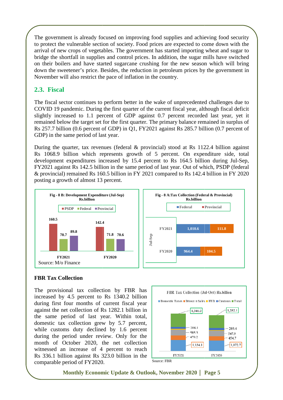The government is already focused on improving food supplies and achieving food security to protect the vulnerable section of society. Food prices are expected to come down with the arrival of new crops of vegetables. The government has started importing wheat and sugar to bridge the shortfall in supplies and control prices. In addition, the sugar mills have switched on their boilers and have started sugarcane crushing for the new season which down the sweetener's price. Besides, the reduction in petroleum prices by the government in November will also restrict the pace of inflation in the country. ing wheat and sugar to<br>ar mills have switched<br>ason which will bring

# **2.3. Fiscal**

The fiscal sector continues to perform better in the wake of unprecedented challenges due to COVID 19 pandemic. During the first quarter of the current fiscal year, although fiscal deficit slightly increased to 1.1 percent of GDP against 0.7 percent recorded last year, yet it remained below the target set for the first quarter. The primary balance remained in surplus of Rs 257.7 billion (0.6 percent of GDP) in Q1, FY2021 against Rs 285.7 billion (0.7 GDP) in the same period of last year. reduction in petroleum prices by the government in<br>lation in the country.<br>ter in the wake of unprecedented challenges due to<br>rter of the current fiscal year, although fiscal deficit<br>DP against 0.7 percent recorded last yea

During the quarter, tax revenues (federal & provincial) stood at Rs 1122.4 billion against Rs 1068.9 billion which represents growth of 5 percent. On expenditure side, total development expenditures increased by 15.4 percent to Rs 164.5 billion during Jul-Sep, FY2021 against Rs 142.5 billion in the same period of last year. Out of which, PSDP ( (federal & provincial) remained Rs 160.5 billion in FY 2021 compared to Rs 142.4 billion in FY 2020 posting a growth of almost 13 13 percent.



#### **FBR Tax Collection**

The provisional tax collection by FBR has increased by 4.5 percent to Rs 1340.2 billion during first four months of current fiscal year against the net collection of Rs 1282.1 billion in the same period of last year. Within total, domestic tax collection grew by 5.7 percent, while customs duty declined by 1.6 percent during the period under review. Only for the month of October 2020, the net collection witnessed an increase of 4 percent to reach Rs 336.1 billion against Rs 323.0 billion in the comparable period of FY2020.

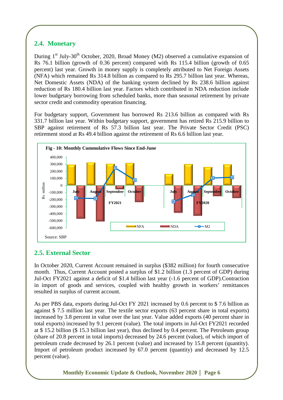# **2.4. Monetary**

During 1<sup>st</sup> July-30<sup>th</sup> October, 2020, Broad Money (M2) observed a cumulative expansion of Rs 76.1 billion (growth of 0.36 percent) compared with Rs 115.4 billion (growth of 0.65 percent) last year. Growth in money supply is completely attributed to Net Foreign Assets (NFA) which remained Rs 314.8 billion as compared to Rs 295.7 billion last year. Whereas, Net Domestic Assets (NDA) of the banking system declined by Rs 238.6 billion against reduction of Rs 180.4 billion last year. Factors which contributed in NDA reduction include lower budgetary borrowing from scheduled banks, more than seasonal retirement by private sector credit and commodity operation financing. lower budgetary borrowing from scheduled banks, more than seasonal retirement by private<br>sector credit and commodity operation financing.<br>For budgetary support, Government has borrowed Rs 213.6 billion as compared with Rs d Money (M2) observed a cumulative expansion of<br>) compared with Rs 115.4 billion (growth of 0.65<br>pply is completely attributed to Net Foreign Assets<br>as compared to Rs 295.7 billion last year. Whereas,<br>hking system declined

331.7 billion last year. Within budgetary support, g government has retired Rs 215.9 billion to SBP against retirement of Rs 57.3 billion last year. The Private Sector Credit (PSC) retirement stood at Rs 49.4 billion against the retirement of Rs 6.6 billion last year.



# **2.5. External Sector**

In October 2020, Current Account remained in surplus (\$382 million) for fourth consecutive month. Thus, Current Account posted a surplus of \$1.2 billion (1.3 percent of GDP) during Jul-Oct FY2021 against a deficit of \$1.4 billion last year (-1.6 percent of GDP).Contraction in import of goods and services, coupled with healthy growth in workers' remittances resulted in surplus of current account.

As per PBS data, exports during Jul-Oct FY 2021 increased by 0.6 percent to \$7.6 billion as against \$7.5 million last year. The textile sector exports (63 percent share in total exports) increased by 3.8 percent in value over the last year. Value added exports (40 percent share in total exports) increased by 9.1 percent (value). The total imports in Jul-Oct FY2021 at \$15.2 billion (\$15.3 billion last year), thus declined by 0.4 percent. The Petroleum group (share of 20.8 percent in total imports) decreased by 24.6 percent (value), of which import of petroleum crude decreased by 26.1 percent (value) and i increased by 15.8 percent (quantity). Import of petroleum product increased by 67.0 percent (quantity) and decreased by 12.5 percent (value).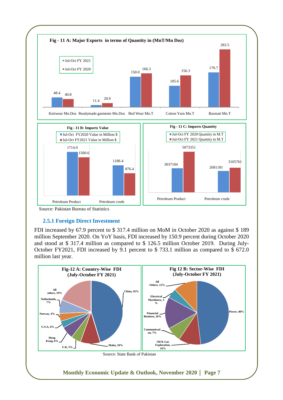

#### Source: Pakistan Bureau of Statistics

#### **2.5.1 Foreign Direct Investment**

FDI increased by 67.9 percent to \$ 317.4 million on MoM in October 2020 as against \$ 189 million September 2020. On YoY basis, FDI increased by 150.9 percent during October 2020 and stood at \$ 317.4 million as compared to \$ 126.5 million October 2019. During July-October FY2021, FDI increased by 9.1 percent to \$ 733.1 million as compared to \$ 672.0 million last year.

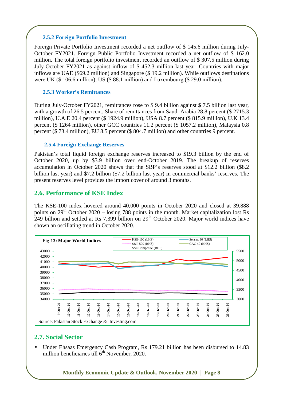#### **2.5.2 Foreign Portfolio Investment**

Foreign Private Portfolio Investment recorded a net outflow of \$ 145.6 million during July-October FY2021. Foreign Public Portfolio Investment recorded a net outflow of \$ 162.0 million. The total foreign portfolio investment recorded an outflow of \$ 307.5 million during July-October FY2021 as against inflow of \$ 452.3 million last year. Countries with major inflows are UAE (\$69.2 million) and Singapore (\$ 19.2 million). While outflows destinations were UK (\$ 106.6 million), US (\$ 88.1 million) and Luxembourg (\$ 29.0 million).

#### **2.5.3 Worker's Remittances**

During July-October FY2021, remittances rose to \$ 9.4 billion against \$ 7.5 billion last year, with a growth of 26.5 percent. Share of remittances from Saudi Arabia 28.8 percent (\$ 2715.3) million), U.A.E 20.4 percent (\$ 1924.9 million), USA 8.7 percent (\$ 815.9 million), U.K 13.4 percent (\$ 1264 million), other GCC countries 11.2 percent (\$ 1057.2 million), Malaysia 0.8 percent (\$ 73.4 million), EU 8.5 percent (\$ 804.7 million) and other countries 9 percent.

#### **2.5.4 Foreign Exchange Reserves**

Pakistan's total liquid foreign exchange reserves increased to \$19.3 billion by the end of October 2020, up by \$3.9 billion over end-October 2019. The breakup of reserves accumulation in October 2020 shows that the SBP's reserves stood at \$12.2 billion (\$8.2 billion last year) and \$7.2 billion (\$7.2 billion last year) in commercial banks' reserves. The present reserves level provides the import cover of around 3 months.

#### **2.6. Performance of KSE Index**

The KSE-100 index hovered around 40,000 points in October 2020 and closed at 39,888 points on  $29<sup>th</sup>$  October  $2020 - \text{losing } 788$  points in the month. Market capitalization lost Rs 249 billion and settled at Rs 7,399 billion on  $29<sup>th</sup>$  October 2020. Major world indices have shown an oscillating trend in October 2020.



#### **2.7. Social Sector**

• Under Ehsaas Emergency Cash Program, Rs 179.21 billion has been disbursed to 14.83 million beneficiaries till  $6<sup>th</sup>$  November, 2020.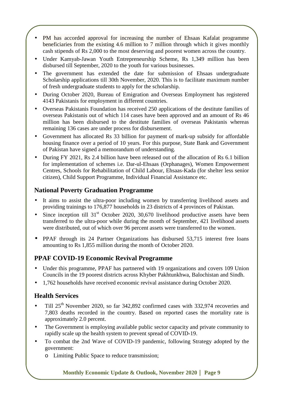- PM has accorded approval for increasing the number of Ehsaas Kafalat programme beneficiaries from the existing 4.6 million to 7 million through which it gives monthly cash stipends of Rs 2,000 to the most deserving and poorest women across the country.
- Under Kamyab-Jawan Youth Entrepreneurship Scheme, Rs 1,349 million has been disbursed till September, 2020 to the youth for various businesses.
- The government has extended the date for submission of Ehsaas undergraduate Scholarship applications till 30th November, 2020. This is to facilitate maximum number of fresh undergraduate students to apply for the scholarship.
- During October 2020, Bureau of Emigration and Overseas Employment has registered 4143 Pakistanis for employment in different countries.
- Overseas Pakistanis Foundation has received 250 applications of the destitute families of overseas Pakistanis out of which 114 cases have been approved and an amount of Rs 46 million has been disbursed to the destitute families of overseas Pakistanis whereas remaining 136 cases are under process for disbursement.
- Government has allocated Rs 33 billion for payment of mark-up subsidy for affordable housing finance over a period of 10 years. For this purpose, State Bank and Government of Pakistan have signed a memorandum of understanding.
- During FY 2021, Rs 2.4 billion have been released out of the allocation of Rs 6.1 billion for implementation of schemes i.e. Dar-ul-Ehsaas (Orphanages), Women Empowerment Centres, Schools for Rehabilitation of Child Labour, Ehsaas-Kada (for shelter less senior citizen), Child Support Programme, Individual Financial Assistance etc.

# **National Poverty Graduation Programme**

- It aims to assist the ultra-poor including women by transferring livelihood assets and providing trainings to 176,877 households in 23 districts of 4 provinces of Pakistan.
- Since inception till  $31<sup>st</sup>$  October 2020, 30,670 livelihood productive assets have been transferred to the ultra-poor while during the month of September, 421 livelihood assets were distributed, out of which over 96 percent assets were transferred to the women.
- PPAF through its 24 Partner Organizations has disbursed 53,715 interest free loans amounting to Rs 1,855 million during the month of October 2020.

# **PPAF COVID-19 Economic Revival Programme**

- Under this programme, PPAF has partnered with 19 organizations and covers 109 Union Councils in the 19 poorest districts across Khyber Pakhtunkhwa, Balochistan and Sindh.
- 1,762 households have received economic revival assistance during October 2020.

# **Health Services**

- Till 25th November 2020, so far 342,892 confirmed cases with 332,974 recoveries and 7,803 deaths recorded in the country. Based on reported cases the mortality rate is approximately 2.0 percent.
- The Government is employing available public sector capacity and private community to rapidly scale up the health system to prevent spread of COVID-19.
- To combat the 2nd Wave of COVID-19 pandemic, following Strategy adopted by the government:
	- o Limiting Public Space to reduce transmission;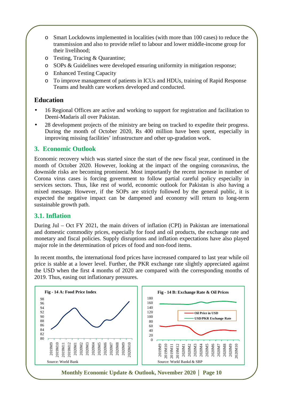- o Smart Lockdowns implemented in localities (with more than 100 cases) to reduce the transmission and also to provide relief to labour and lower middle-income group for their livelihood;
- o Testing, Tracing & Quarantine;
- o SOPs & Guidelines were developed ensuring uniformity in mitigation response;
- o Enhanced Testing Capacity
- o To improve management of patients in ICUs and HDUs, training of Rapid Response Teams and health care workers developed and conducted.

# **Education**

- 16 Regional Offices are active and working to support for registration and facilitation to Deeni-Madaris all over Pakistan.
- 28 development projects of the ministry are being on tracked to expedite their progress. During the month of October 2020, Rs 400 million have been spent, especially in improving missing facilities' infrastructure and other up-gradation work.

# **3. Economic Outlook**

Economic recovery which was started since the start of the new fiscal year, continued in the month of October 2020. However, looking at the impact of the ongoing coronavirus, the downside risks are becoming prominent. Most importantly the recent increase in number of Corona virus cases is forcing government to follow partial careful policy especially in services sectors. Thus, like rest of world, economic outlook for Pakistan is also having a mixed message. However, if the SOPs are strictly followed by the general public, it is expected the negative impact can be dampened and economy will return to long-term sustainable growth path.

# **3.1. Inflation**

During Jul – Oct FY 2021, the main drivers of inflation (CPI) in Pakistan are international and domestic commodity prices, especially for food and oil products, the exchange rate and monetary and fiscal policies. Supply disruptions and inflation expectations have also played major role in the determination of prices of food and non-food items.

In recent months, the international food prices have increased compared to last year while oil price is stable at a lower level. Further, the PKR exchange rate slightly appreciated against the USD when the first 4 months of 2020 are compared with the corresponding months of 2019. Thus, easing out inflationary pressures.

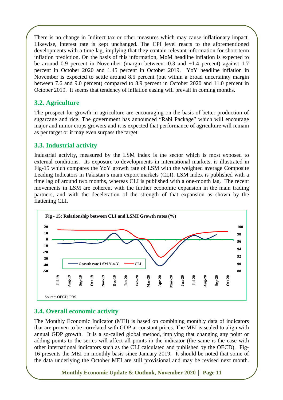There is no change in Indirect tax or other measures which may cause inflationary impact. Likewise, interest rate is kept unchanged. The CPI level reacts to the aforementioned developments with a time lag, implying that they contain relevant information for short term inflation prediction. On the basis of this information, MoM headline inflation is expected to be around 0.9 percent in November (margin between -0.3 and +1.4 percent) against 1.7 percent in October 2020 and 1.45 percent in October 2019. YoY headline inflation in November is expected to settle around 8.5 percent (but within a broad uncertainty margin between 7.6 and 9.0 percent) compared to 8.9 percent in October 2020 and 11.0 percent in October 2019. It seems that tendency of inflation easing will prevail in coming months.

# **3.2. Agriculture**

The prospect for growth in agriculture are encouraging on the basis of better production of sugarcane and rice. The government has announced "Rabi Package" which will encourage major and minor crops growers and it is expected that performance of agriculture will remain as per target or it may even surpass the target.

# **3.3. Industrial activity**

Industrial activity, measured by the LSM index is the sector which is most exposed to external conditions. Its exposure to developments in international markets, is illustrated in Fig-15 which compares the YoY growth rate of LSM with the weighted average Composite Leading Indicators in Pakistan's main export markets (CLI). LSM index is published with a time lag of around two months, whereas CLI is published with a one-month lag. The recent movements in LSM are coherent with the further economic expansion in the main trading partners, and with the deceleration of the strength of that expansion as shown by the flattening CLI.



# **3.4. Overall economic activity**

The Monthly Economic Indicator (MEI) is based on combining monthly data of indicators that are proven to be correlated with GDP at constant prices. The MEI is scaled to align with annual GDP growth. It is a so-called global method, implying that changing any point or adding points to the series will affect all points in the indicator (the same is the case with other international indicators such as the CLI calculated and published by the OECD). Fig-16 presents the MEI on monthly basis since January 2019. It should be noted that some of the data underlying the October MEI are still provisional and may be revised next month.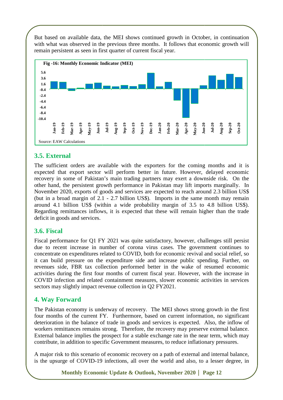But based on available data, the MEI shows continued growth in October, in continuation with what was observed in the previous three months. It follows that economic growth will remain persistent as seen in first quarter of current fiscal year.



# **3.5. External**

The sufficient orders are available with the exporters for the coming months and it is The sufficient orders are available with the exporters for the coming months and it is expected that export sector will perform better in future. However, delayed economic recovery in some of Pakistan's main trading partners may exert a downside risk. On the other hand, the persistent growth performance in Pakistan may lift imports marginally. In November 2020, exports of goods and services are expected to reach around 2.3 billion US\$ other hand, the persistent growth performance in Pakistan may lift imports marginally. In<br>November 2020, exports of goods and services are expected to reach around 2.3 billion US\$<br>(but in a broad margin of 2.1 - 2.7 billio around 4.1 billion US\$ (within a wide probability margin of 3.5 to 4.8 billion US US\$). Regarding remittances inflows, it is expected that these will remain higher than the trade deficit in goods and services. 19 **Jul-19 Aug-19 Sep-19 Oct-19 Nov-19 Dec-19 Jan-20 Feb-20 Mar-20 Apr-20 May-20 Jun-20** From the comming months and the recovery of the comming months and the respected to reach around and relaxion may if the imports in reaching many if the expected to reach around 2.3 billion U. I. mports in the same month

#### **3.6. Fiscal**

Fiscal performance for Q1 FY 2021 was quite satisfactory, however, challenges still persist due to recent increase in number of corona virus cases. The government continues to concentrate on expenditures related to COVID, both for economic revival and social relief, so it can build pressure on the expenditure side and increase public spending. Further, on revenues side, FBR tax collection performed better in the wake of resumed economic activities during the first four months of current fiscal year. However, with the increase in COVID infection and related containment measures, slower economic activities in services sectors may slightly impact revenue collection in Q2 FY2021.

# **4. Way Forward**

The Pakistan economy is underway of recovery. The MEI shows strong growth in the first four months of the current FY. Furthermore, based on current information, no significant deterioration in the balance of trade in goods and services is expected. Also, the inflow of workers remittances remains strong. Therefore, the recovery may preserve external balance. External balance implies the prospect for a stable exchange rate in the near term, which may contribute, in addition to specific Government measures, to reduce inflationary pressures.

A major risk to this scenario of economic recovery on a path of external and internal balance, is the upsurge of COVID-19 infections, all over the world and also, to a lesser degree, in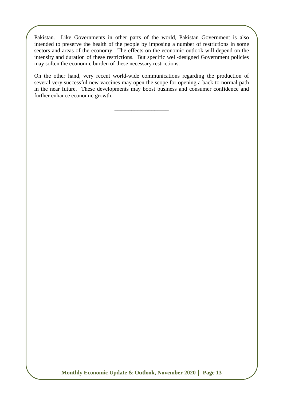Pakistan. Like Governments in other parts of the world, Pakistan Government is also intended to preserve the health of the people by imposing a number of restrictions in some sectors and areas of the economy. The effects on the economic outlook will depend on the intensity and duration of these restrictions. But specific well-designed Government policies may soften the economic burden of these necessary restrictions.

On the other hand, very recent world-wide communications regarding the production of several very successful new vaccines may open the scope for opening a back-to normal path in the near future. These developments may boost business and consumer confidence and further enhance economic growth.

\_\_\_\_\_\_\_\_\_\_\_\_\_\_\_\_\_\_\_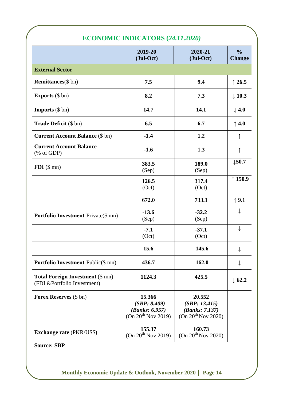|                                                                            | <b>ECONOMIC INDICATORS (24.11.2020)</b>                                    |                                                                             |                                |  |
|----------------------------------------------------------------------------|----------------------------------------------------------------------------|-----------------------------------------------------------------------------|--------------------------------|--|
|                                                                            | 2019-20<br>(Jul-Oct)                                                       | 2020-21<br>(Jul-Oct)                                                        | $\frac{0}{0}$<br><b>Change</b> |  |
| <b>External Sector</b>                                                     |                                                                            |                                                                             |                                |  |
| <b>Remittances</b> (\$ bn)                                                 | 7.5                                                                        | 9.4                                                                         | $\uparrow$ 26.5                |  |
| <b>Exports</b> $(\$ bn)$                                                   | 8.2                                                                        | 7.3                                                                         | $\downarrow$ 10.3              |  |
| <b>Imports</b> $(\$ bn)$                                                   | 14.7                                                                       | 14.1                                                                        | $\downarrow$ 4.0               |  |
| <b>Trade Deficit</b> (\$ bn)                                               | 6.5                                                                        | 6.7                                                                         | $\uparrow$ 4.0                 |  |
| <b>Current Account Balance (\$ bn)</b>                                     | $-1.4$                                                                     | 1.2                                                                         | ↑                              |  |
| <b>Current Account Balance</b><br>$(% \mathcal{L}_{0}^{\infty}$ (% of GDP) | $-1.6$                                                                     | 1.3                                                                         |                                |  |
| $FDI$ (\$ mn)                                                              | 383.5<br>(Sep)                                                             | 189.0<br>(Sep)                                                              | $\downarrow$ 50.7              |  |
|                                                                            | 126.5<br>(Oct)                                                             | 317.4<br>(Oct)                                                              | $\uparrow$ 150.9               |  |
|                                                                            | 672.0                                                                      | 733.1                                                                       | $\uparrow$ 9.1                 |  |
| <b>Portfolio Investment-Private(\$ mn)</b>                                 | $-13.6$<br>(Sep)                                                           | $-32.2$<br>(Sep)                                                            |                                |  |
|                                                                            | $-7.1$<br>(Oct)                                                            | $-37.1$<br>(Oct)                                                            |                                |  |
|                                                                            | 15.6                                                                       | $-145.6$                                                                    |                                |  |
| Portfolio Investment-Public(\$ mn)                                         | 436.7                                                                      | $-162.0$                                                                    |                                |  |
| <b>Total Foreign Investment (\$ mn)</b><br>(FDI &Portfolio Investment)     | 1124.3                                                                     | 425.5                                                                       | $\downarrow$ 62.2              |  |
| Forex Reserves (\$ bn)                                                     | 15.366<br>(SBP: 8.409)<br>(Banks: 6.957)<br>(On 20 <sup>th</sup> Nov 2019) | 20.552<br>(SBP: 13.415)<br>(Banks: 7.137)<br>(On 20 <sup>th</sup> Nov 2020) |                                |  |
| <b>Exchange rate (PKR/US\$)</b>                                            | 155.37<br>(On 20 <sup>th</sup> Nov 2019)                                   | 160.73<br>(On 20 <sup>th</sup> Nov 2020)                                    |                                |  |

#### **Source: SBP**